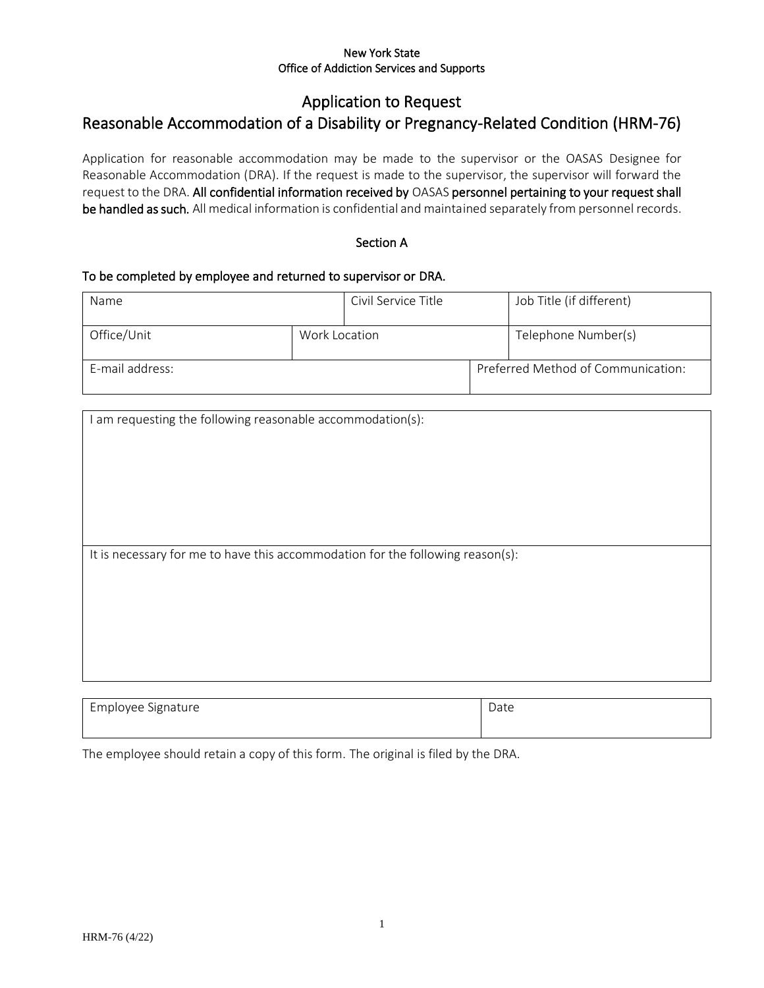#### New York State Office of Addiction Services and Supports

# Application to Request

# Reasonable Accommodation of a Disability or Pregnancy-Related Condition (HRM-76)

Application for reasonable accommodation may be made to the supervisor or the OASAS Designee for Reasonable Accommodation (DRA). If the request is made to the supervisor, the supervisor will forward the request to the DRA. All confidential information received by OASAS personnel pertaining to your request shall be handled as such. All medical information is confidential and maintained separately from personnel records.

#### Section A

#### To be completed by employee and returned to supervisor or DRA.

| Name                         |  | Civil Service Title | Job Title (if different)           |
|------------------------------|--|---------------------|------------------------------------|
| Office/Unit<br>Work Location |  |                     | Telephone Number(s)                |
| E-mail address:              |  |                     | Preferred Method of Communication: |

| I am requesting the following reasonable accommodation(s):                     |  |
|--------------------------------------------------------------------------------|--|
|                                                                                |  |
|                                                                                |  |
|                                                                                |  |
|                                                                                |  |
|                                                                                |  |
|                                                                                |  |
|                                                                                |  |
|                                                                                |  |
|                                                                                |  |
|                                                                                |  |
|                                                                                |  |
|                                                                                |  |
|                                                                                |  |
|                                                                                |  |
| It is necessary for me to have this accommodation for the following reason(s): |  |
|                                                                                |  |
|                                                                                |  |
|                                                                                |  |
|                                                                                |  |
|                                                                                |  |
|                                                                                |  |
|                                                                                |  |
|                                                                                |  |
|                                                                                |  |
|                                                                                |  |
|                                                                                |  |
|                                                                                |  |
|                                                                                |  |
|                                                                                |  |
|                                                                                |  |

| Employee Signature<br>ັ | Date |
|-------------------------|------|
|                         |      |

The employee should retain a copy of this form. The original is filed by the DRA.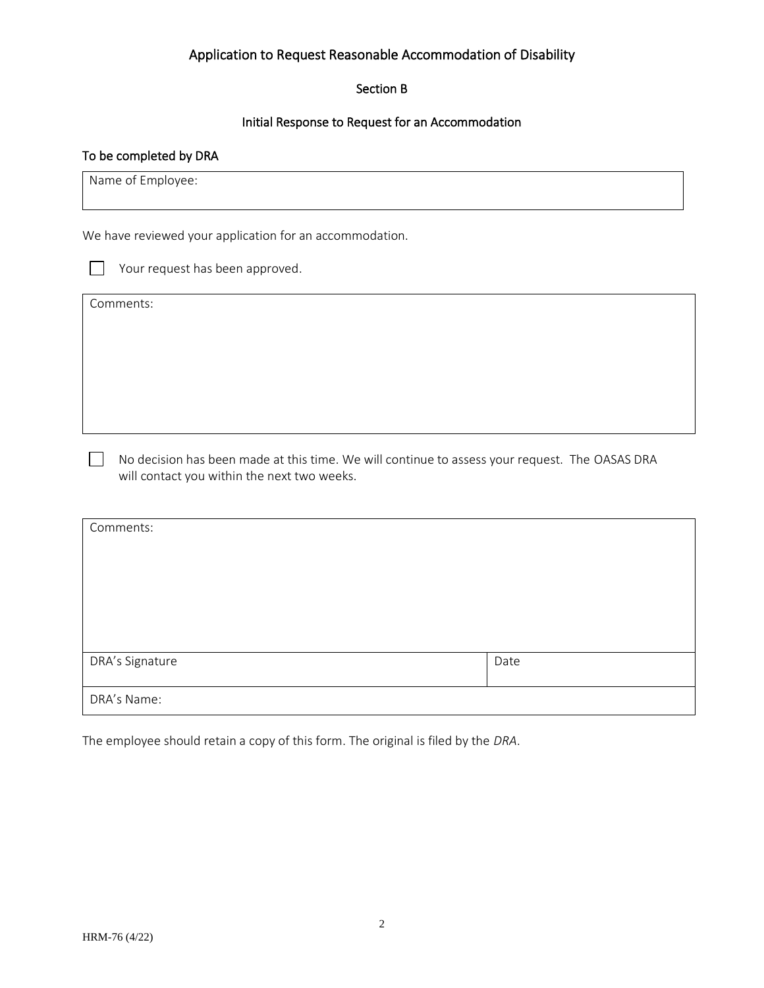#### Section B

### Initial Response to Request for an Accommodation

#### To be completed by DRA

Name of Employee:

We have reviewed your application for an accommodation.

Your request has been approved.

Comments:

 No decision has been made at this time. We will continue to assess your request. The OASAS DRA will contact you within the next two weeks.

| Comments:       |      |
|-----------------|------|
|                 |      |
|                 |      |
|                 |      |
|                 |      |
|                 |      |
| DRA's Signature | Date |
|                 |      |
| DRA's Name:     |      |

The employee should retain a copy of this form. The original is filed by the *DRA*.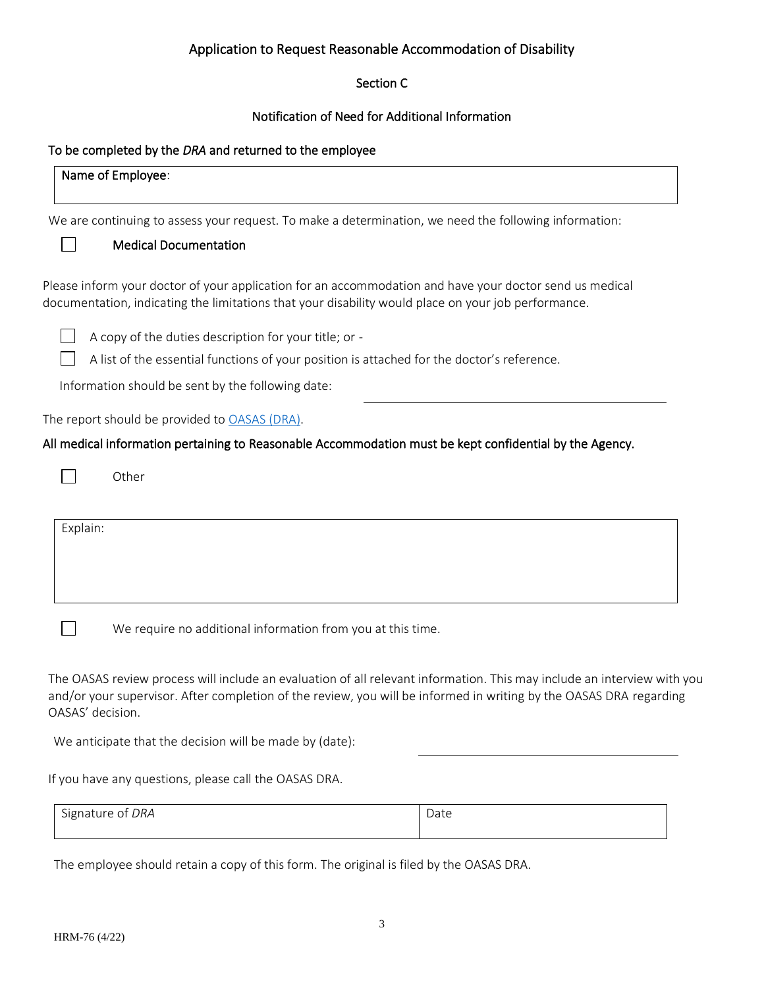## Section C

### Notification of Need for Additional Information

## To be completed by the *DRA* and returned to the employee

| Name of Employee: |                                                                                                                                                                                                                                               |      |
|-------------------|-----------------------------------------------------------------------------------------------------------------------------------------------------------------------------------------------------------------------------------------------|------|
|                   | We are continuing to assess your request. To make a determination, we need the following information:                                                                                                                                         |      |
|                   | <b>Medical Documentation</b>                                                                                                                                                                                                                  |      |
|                   | Please inform your doctor of your application for an accommodation and have your doctor send us medical<br>documentation, indicating the limitations that your disability would place on your job performance.                                |      |
|                   | A copy of the duties description for your title; or -                                                                                                                                                                                         |      |
|                   | A list of the essential functions of your position is attached for the doctor's reference.                                                                                                                                                    |      |
|                   | Information should be sent by the following date:                                                                                                                                                                                             |      |
|                   | The report should be provided to OASAS (DRA).                                                                                                                                                                                                 |      |
|                   | All medical information pertaining to Reasonable Accommodation must be kept confidential by the Agency.                                                                                                                                       |      |
|                   | Other                                                                                                                                                                                                                                         |      |
| Explain:          |                                                                                                                                                                                                                                               |      |
|                   |                                                                                                                                                                                                                                               |      |
|                   |                                                                                                                                                                                                                                               |      |
|                   | We require no additional information from you at this time.                                                                                                                                                                                   |      |
| OASAS' decision.  | The OASAS review process will include an evaluation of all relevant information. This may include an interview with you<br>and/or your supervisor. After completion of the review, you will be informed in writing by the OASAS DRA regarding |      |
|                   | We anticipate that the decision will be made by (date):                                                                                                                                                                                       |      |
|                   | If you have any questions, please call the OASAS DRA.                                                                                                                                                                                         |      |
| Signature of DRA  |                                                                                                                                                                                                                                               | Date |

The employee should retain a copy of this form. The original is filed by the OASAS DRA.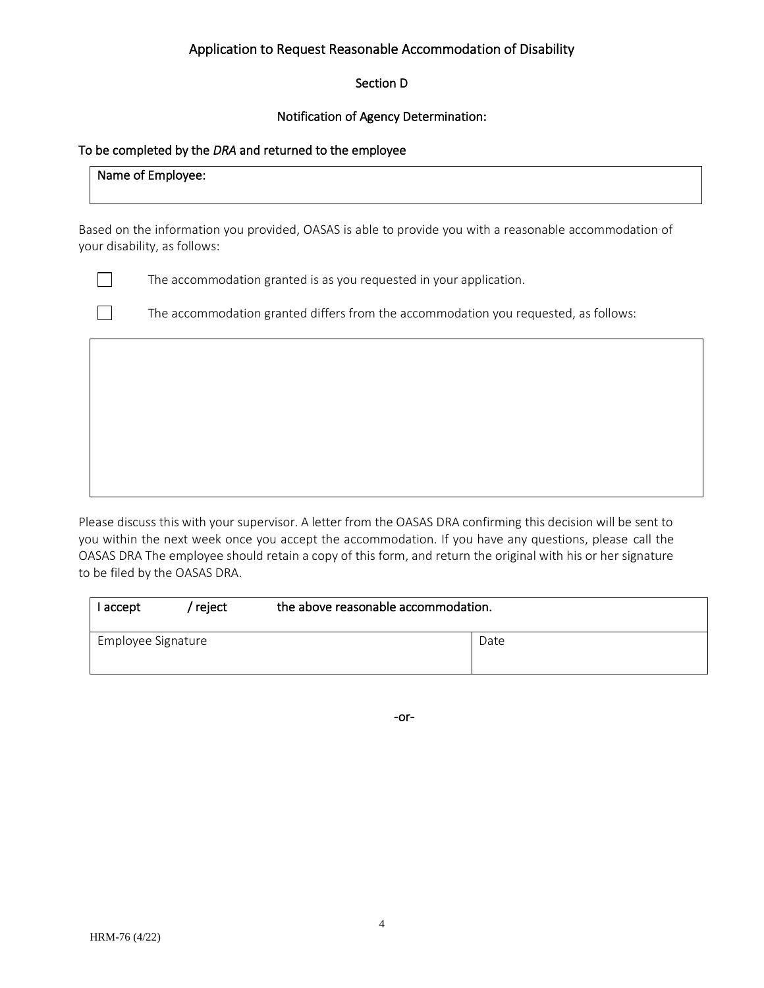## Section D

## Notification of Agency Determination:

#### To be completed by the *DRA* and returned to the employee

### Name of Employee:

Based on the information you provided, OASAS is able to provide you with a reasonable accommodation of your disability, as follows:



 $\Box$  The accommodation granted is as you requested in your application.

 $\Box$  The accommodation granted differs from the accommodation you requested, as follows:

Please discuss this with your supervisor. A letter from the OASAS DRA confirming this decision will be sent to you within the next week once you accept the accommodation. If you have any questions, please call the OASAS DRA The employee should retain a copy of this form, and return the original with his or her signature to be filed by the OASAS DRA.

| I accept           | reject | the above reasonable accommodation. |      |
|--------------------|--------|-------------------------------------|------|
| Employee Signature |        |                                     | Date |

-or-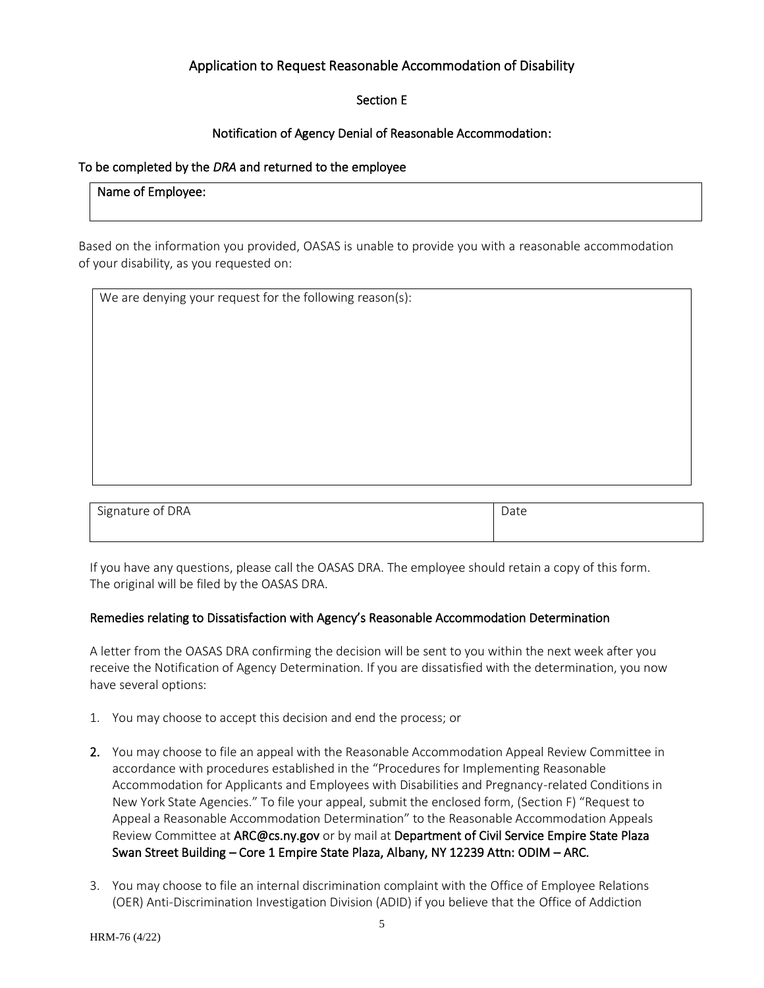## Section E

## Notification of Agency Denial of Reasonable Accommodation:

#### To be completed by the *DRA* and returned to the employee

## Name of Employee:

Based on the information you provided, OASAS is unable to provide you with a reasonable accommodation of your disability, as you requested on:

| We are denying your request for the following reason(s): |  |
|----------------------------------------------------------|--|

| Signature of DRA | Date |
|------------------|------|
|                  |      |

If you have any questions, please call the OASAS DRA. The employee should retain a copy of this form. The original will be filed by the OASAS DRA.

#### Remedies relating to Dissatisfaction with Agency's Reasonable Accommodation Determination

A letter from the OASAS DRA confirming the decision will be sent to you within the next week after you receive the Notification of Agency Determination. If you are dissatisfied with the determination, you now have several options:

- 1. You may choose to accept this decision and end the process; or
- 2. You may choose to file an appeal with the Reasonable Accommodation Appeal Review Committee in accordance with procedures established in the "Procedures for Implementing Reasonable Accommodation for Applicants and Employees with Disabilities and Pregnancy-related Conditions in New York State Agencies." To file your appeal, submit the enclosed form, (Section F) "Request to Appeal a Reasonable Accommodation Determination" to the Reasonable Accommodation Appeals Review Committee at ARC@cs.ny.gov or by mail at Department of Civil Service Empire State Plaza Swan Street Building – Core 1 Empire State Plaza, Albany, NY 12239 Attn: ODIM – ARC.
- 3. You may choose to file an internal discrimination complaint with the Office of Employee Relations (OER) Anti-Discrimination Investigation Division (ADID) if you believe that the Office of Addiction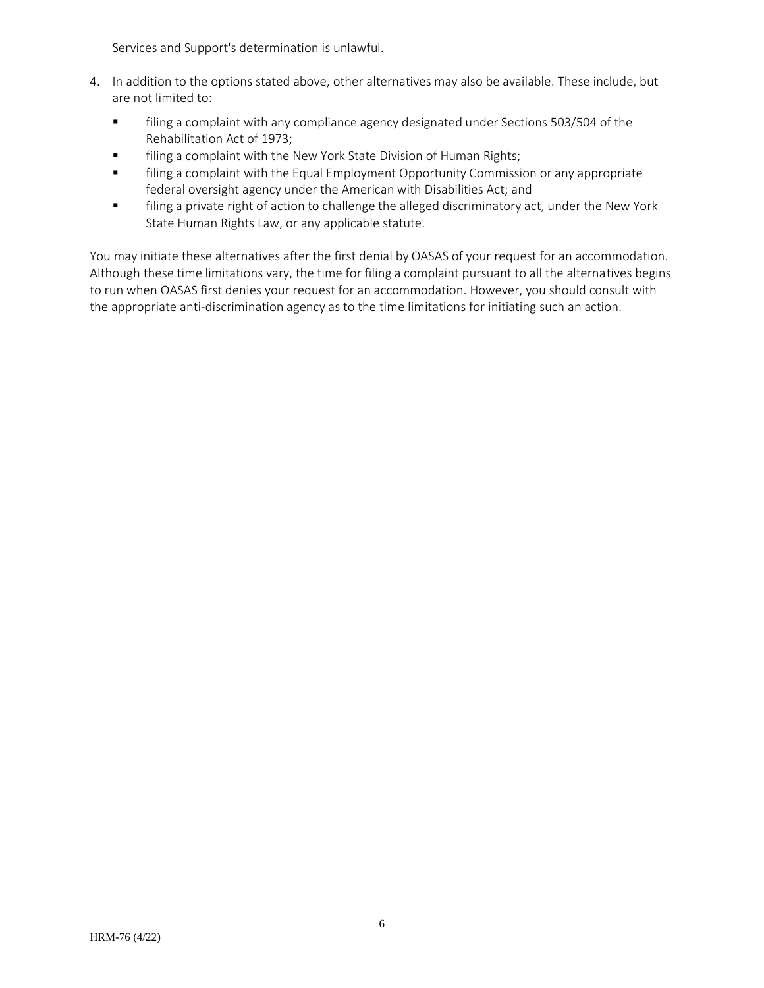Services and Support's determination is unlawful.

- 4. In addition to the options stated above, other alternatives may also be available. These include, but are not limited to:
	- **The filing a complaint with any compliance agency designated under Sections 503/504 of the** Rehabilitation Act of 1973;
	- **■** filing a complaint with the New York State Division of Human Rights;
	- **■** filing a complaint with the Equal Employment Opportunity Commission or any appropriate federal oversight agency under the American with Disabilities Act; and
	- **■** filing a private right of action to challenge the alleged discriminatory act, under the New York State Human Rights Law, or any applicable statute.

You may initiate these alternatives after the first denial by OASAS of your request for an accommodation. Although these time limitations vary, the time for filing a complaint pursuant to all the alternatives begins to run when OASAS first denies your request for an accommodation. However, you should consult with the appropriate anti-discrimination agency as to the time limitations for initiating such an action.